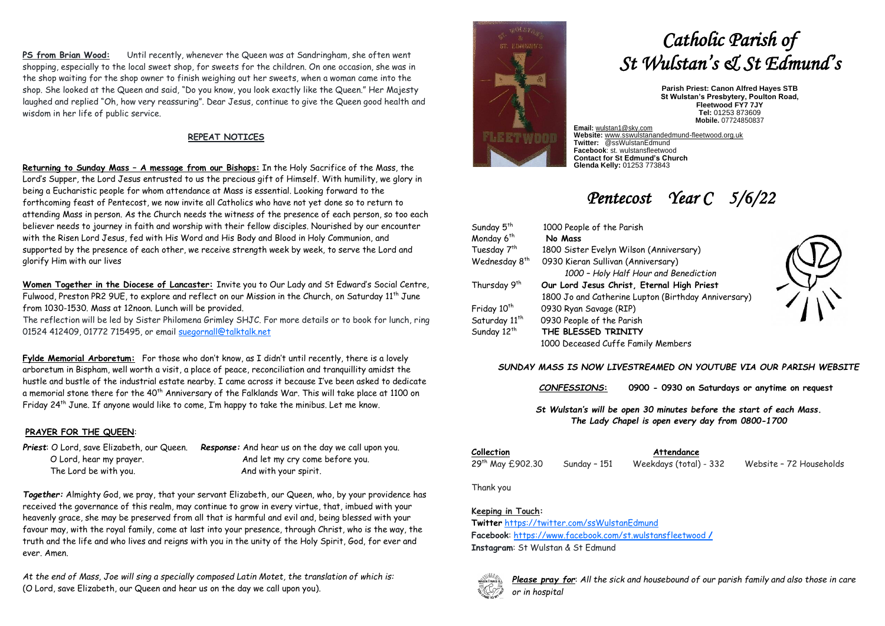**PS from Brian Wood:** Until recently, whenever the Queen was at Sandringham, she often went shopping, especially to the local sweet shop, for sweets for the children. On one occasion, she was in the shop waiting for the shop owner to finish weighing out her sweets, when a woman came into the shop. She looked at the Queen and said, "Do you know, you look exactly like the Queen." Her Majesty laughed and replied "Oh, how very reassuring". Dear Jesus, continue to give the Queen good health and wisdom in her life of public service. NGELI

### **REPEAT NOTICES**

**Returning to Sunday Mass – A message from our Bishops:** In the Holy Sacrifice of the Mass, the Lord's Supper, the Lord Jesus entrusted to us the precious gift of Himself. With humility, we glory in being a Eucharistic people for whom attendance at Mass is essential. Looking forward to the forthcoming feast of Pentecost, we now invite all Catholics who have not yet done so to return to attending Mass in person. As the Church needs the witness of the presence of each person, so too each believer needs to journey in faith and worship with their fellow disciples. Nourished by our encounter with the Risen Lord Jesus, fed with His Word and His Body and Blood in Holy Communion, and supported by the presence of each other, we receive strength week by week, to serve the Lord and glorify Him with our lives

**Women Together in the Diocese of Lancaster:** Invite you to Our Lady and St Edward's Social Centre, Fulwood, Preston PR2 9UE, to explore and reflect on our Mission in the Church, on Saturday 11<sup>th</sup> June from 1030-1530. Mass at 12noon. Lunch will be provided.

The reflection will be led by Sister Philomena Grimley SHJC. For more details or to book for lunch, ring 01524 412409, 01772 715495, or email [suegornall@talktalk.net](mailto:suegornall@talktalk.net)

**Fylde Memorial Arboretum:** For those who don't know, as I didn't until recently, there is a lovely arboretum in Bispham, well worth a visit, a place of peace, reconciliation and tranquillity amidst the hustle and bustle of the industrial estate nearby. I came across it because I've been asked to dedicate a memorial stone there for the 40<sup>th</sup> Anniversary of the Falklands War. This will take place at 1100 on Friday 24<sup>th</sup> June. If anyone would like to come, I'm happy to take the minibus. Let me know.

### **PRAYER FOR THE QUEEN**:

*Priest*: O Lord, save Elizabeth, our Queen. *Response:* And hear us on the day we call upon you. The Lord be with you. And with your spirit.

O Lord, hear my prayer. And let my cry come before you.

*Together:* Almighty God, we pray, that your servant Elizabeth, our Queen, who, by your providence has received the governance of this realm, may continue to grow in every virtue, that, imbued with your heavenly grace, she may be preserved from all that is harmful and evil and, being blessed with your favour may, with the royal family, come at last into your presence, through Christ, who is the way, the truth and the life and who lives and reigns with you in the unity of the Holy Spirit, God, for ever and ever. Amen.

*At the end of Mass, Joe will sing a specially composed Latin Motet, the translation of which is:* (O Lord, save Elizabeth, our Queen and hear us on the day we call upon you).



# *Catholic Parish of St Wulstan's & St Edmund's*

**Parish Priest: Canon Alfred Hayes STB St Wulstan's Presbytery, Poulton Road, Fleetwood FY7 7JY Tel:** 01253 873609 **Mobile.** 07724850837

**Email:** [wulstan1@sky.com](mailto:wulstan1@sky.com) **Website:** [www.sswulstanandedmund-fleetwood.org.uk](http://www.sswulstanandedmund-fleetwood.org.uk/) **Twitter:** @ssWulstanEdmund **Facebook**: st. wulstansfleetwood **Contact for St Edmund's Church Glenda Kelly:** 01253 773843

## *Pentecost Year C 5/6/22*

| Sunday 5 <sup>th</sup>    | 1000 People of the Parish                           |  |
|---------------------------|-----------------------------------------------------|--|
| Monday 6 <sup>th</sup>    | No Mass                                             |  |
| Tuesday 7 <sup>th</sup>   | 1800 Sister Evelyn Wilson (Anniversary)             |  |
| Wednesday 8 <sup>th</sup> | 0930 Kieran Sullivan (Anniversary)                  |  |
|                           | 1000 - Holy Half Hour and Benediction               |  |
| Thursday 9th              | Our Lord Jesus Christ, Eternal High Priest          |  |
|                           | 1800 Jo and Catherine Lupton (Birthday Anniversary) |  |
| Friday 10 <sup>th</sup>   | 0930 Ryan Savage (RIP)                              |  |
| Saturday 11 <sup>th</sup> | 0930 People of the Parish                           |  |
| Sunday 12 <sup>th</sup>   | THE BLESSED TRINITY                                 |  |
|                           | 1000 Deceased Cuffe Family Members                  |  |

*SUNDAY MASS IS NOW LIVESTREAMED ON YOUTUBE VIA OUR PARISH WEBSITE*

*CONFESSIONS***: 0900 - 0930 on Saturdays or anytime on request**

*St Wulstan's will be open 30 minutes before the start of each Mass. The Lady Chapel is open every day from 0800-1700*

**Collection Attendance**

29th May £902.30 Sunday – 151 Weekdays (total) - 332 Website – 72 Households

Thank you

### **Keeping in Touch:**

**Twitter** <https://twitter.com/ssWulstanEdmund> **Facebook**: https://www.facebook.com/st.wulstansfleetwood **/ Instagram**: St Wulstan & St Edmund



*Please pray for*: *All the sick and housebound of our parish family and also those in care or in hospital*